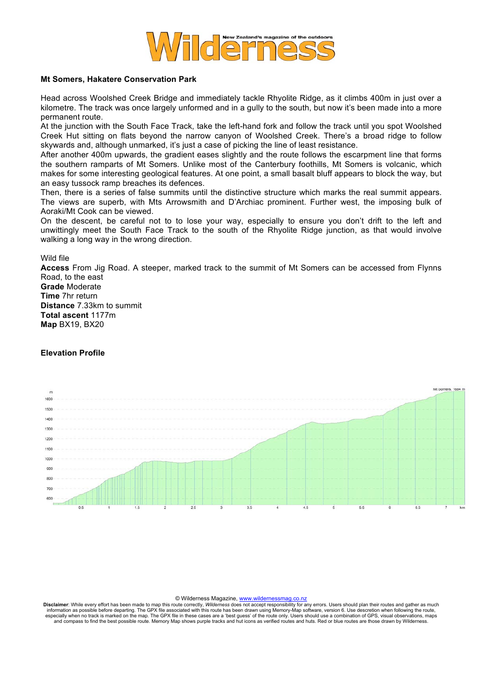

## **Mt Somers, Hakatere Conservation Park**

Head across Woolshed Creek Bridge and immediately tackle Rhyolite Ridge, as it climbs 400m in just over a kilometre. The track was once largely unformed and in a gully to the south, but now it's been made into a more permanent route.

At the junction with the South Face Track, take the left-hand fork and follow the track until you spot Woolshed Creek Hut sitting on flats beyond the narrow canyon of Woolshed Creek. There's a broad ridge to follow skywards and, although unmarked, it's just a case of picking the line of least resistance.

After another 400m upwards, the gradient eases slightly and the route follows the escarpment line that forms the southern ramparts of Mt Somers. Unlike most of the Canterbury foothills, Mt Somers is volcanic, which makes for some interesting geological features. At one point, a small basalt bluff appears to block the way, but an easy tussock ramp breaches its defences.

Then, there is a series of false summits until the distinctive structure which marks the real summit appears. The views are superb, with Mts Arrowsmith and D'Archiac prominent. Further west, the imposing bulk of Aoraki/Mt Cook can be viewed.

On the descent, be careful not to to lose your way, especially to ensure you don't drift to the left and unwittingly meet the South Face Track to the south of the Rhyolite Ridge junction, as that would involve walking a long way in the wrong direction.

Wild file

**Access** From Jig Road. A steeper, marked track to the summit of Mt Somers can be accessed from Flynns Road, to the east **Grade** Moderate **Time** 7hr return **Distance** 7.33km to summit **Total ascent** 1177m **Map** BX19, BX20

## **Elevation Profile**



© Wilderness Magazine, www.wildernessmag.co.nz

Disclaimer: While every effort has been made to map this route correctly, Wilderness does not accept responsibility for any errors. Users should plan their routes and gather as much<br>information as possible before departing especially when no track is marked on the map. The GPX file in these cases are a 'best guess' of the route only. Users should use a combination of GPS, visual observations, maps<br>and compass to find the best possible route.